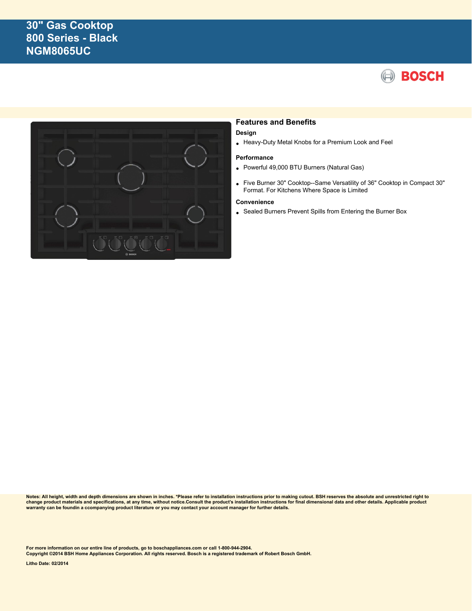# **30" Gas Cooktop 800 Series - Black NGM8065UC**





## **Features and Benefits**

#### **Design**

• Heavy-Duty Metal Knobs for a Premium Look and Feel

#### **Performance**

- Powerful 49,000 BTU Burners (Natural Gas)
- Five Burner 30" Cooktop--Same Versatility of 36" Cooktop in Compact 30" Format. For Kitchens Where Space is Limited

#### **Convenience**

• Sealed Burners Prevent Spills from Entering the Burner Box

**Notes: All height, width and depth dimensions are shown in inches. \*Please refer to installation instructions prior to making cutout. BSH reserves the absolute and unrestricted right to** change product materials and specifications, at any time, without notice.Consult the product's installation instructions for final dimensional data and other details. Applicable product<br>warranty can be foundin a ccompanyin

**For more information on our entire line of products, go to boschappliances.com or call 1-800-944-2904.**

**Copyright ©2014 BSH Home Appliances Corporation. All rights reserved. Bosch is a registered trademark of Robert Bosch GmbH.**